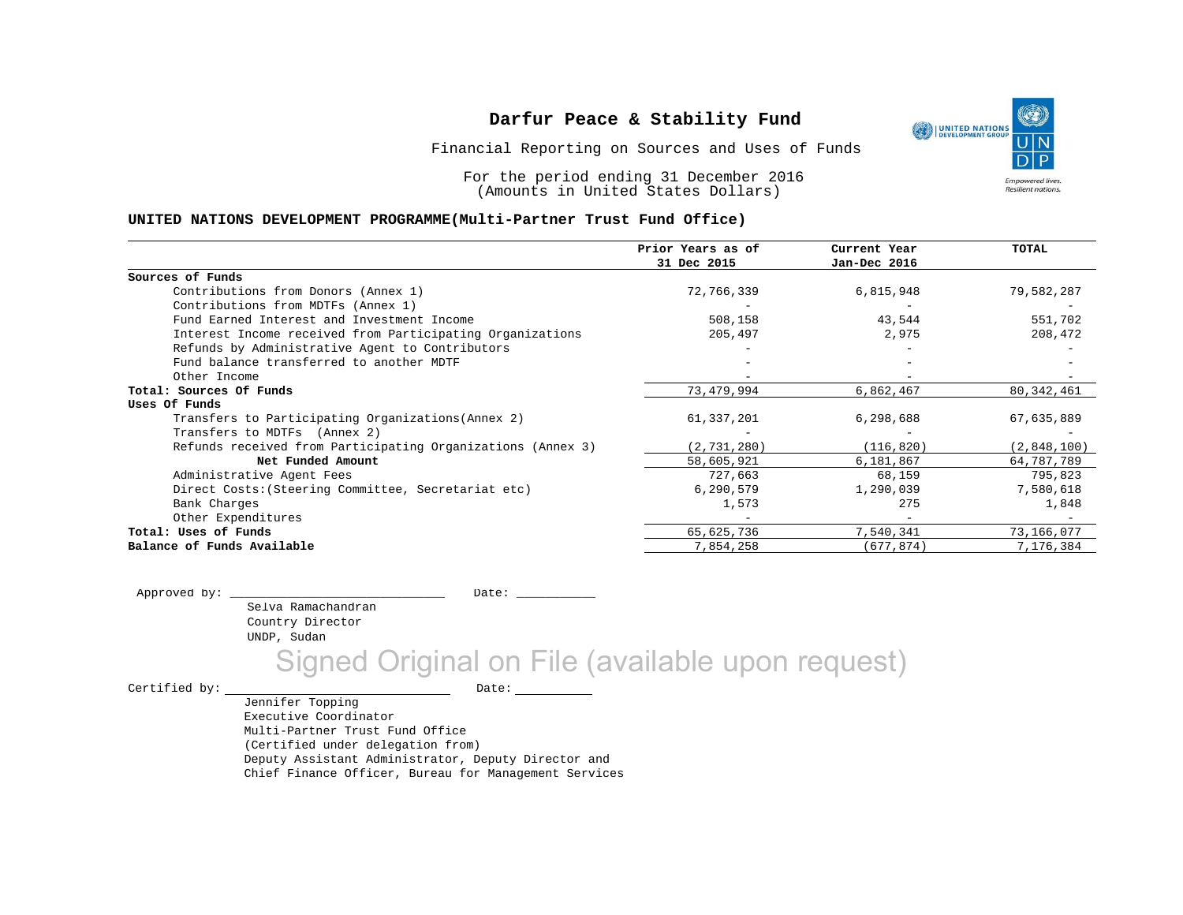Financial Reporting on Sources and Uses of Funds

For the period ending 31 December 2016 (Amounts in United States Dollars)

#### **UNITED NATIONS DEVELOPMENT PROGRAMME(Multi-Partner Trust Fund Office)**

| 31 Dec 2015<br>Jan-Dec 2016<br>Sources of Funds                                                           |       |
|-----------------------------------------------------------------------------------------------------------|-------|
|                                                                                                           |       |
|                                                                                                           |       |
| Contributions from Donors (Annex 1)<br>72,766,339<br>6,815,948<br>79,582,287                              |       |
| Contributions from MDTFs (Annex 1)                                                                        |       |
| 508,158<br>Fund Earned Interest and Investment Income<br>43,544<br>551,702                                |       |
| Interest Income received from Participating Organizations<br>205,497<br>208,472<br>2,975                  |       |
| Refunds by Administrative Agent to Contributors                                                           |       |
| Fund balance transferred to another MDTF                                                                  |       |
| Other Income                                                                                              |       |
| 73,479,994<br>6,862,467<br>80, 342, 461<br>Total: Sources Of Funds                                        |       |
| Uses Of Funds                                                                                             |       |
| Transfers to Participating Organizations (Annex 2)<br>61,337,201<br>6,298,688<br>67,635,889               |       |
| Transfers to MDTFs (Annex 2)                                                                              |       |
| Refunds received from Participating Organizations (Annex 3)<br>(2, 731, 280)<br>(116, 820)<br>(2,848,100) |       |
| Net Funded Amount<br>58,605,921<br>6,181,867<br>64,787,789                                                |       |
| 727,663<br>68,159<br>795,823<br>Administrative Agent Fees                                                 |       |
| Direct Costs: (Steering Committee, Secretariat etc)<br>6,290,579<br>1,290,039<br>7,580,618                |       |
| 275<br>Bank Charges<br>1,573                                                                              | 1,848 |
| Other Expenditures<br>$\overline{\phantom{a}}$                                                            |       |
| 65,625,736<br>7,540,341<br>Total: Uses of Funds<br>73,166,077                                             |       |
| Balance of Funds Available<br>7,854,258<br>(677,874)<br>7,176,384                                         |       |

Selva Ramachandran Country Director UNDP, Sudan Approved by: \_\_\_\_\_\_\_\_\_\_\_\_\_\_\_\_\_\_\_\_\_\_\_\_\_\_\_\_\_\_ Date: \_\_\_\_\_\_\_\_\_\_\_

Signed Original on File (available upon request)

Certified by: Date:

Jennifer Topping Executive Coordinator Multi-Partner Trust Fund Office (Certified under delegation from) Deputy Assistant Administrator, Deputy Director and Chief Finance Officer, Bureau for Management Services

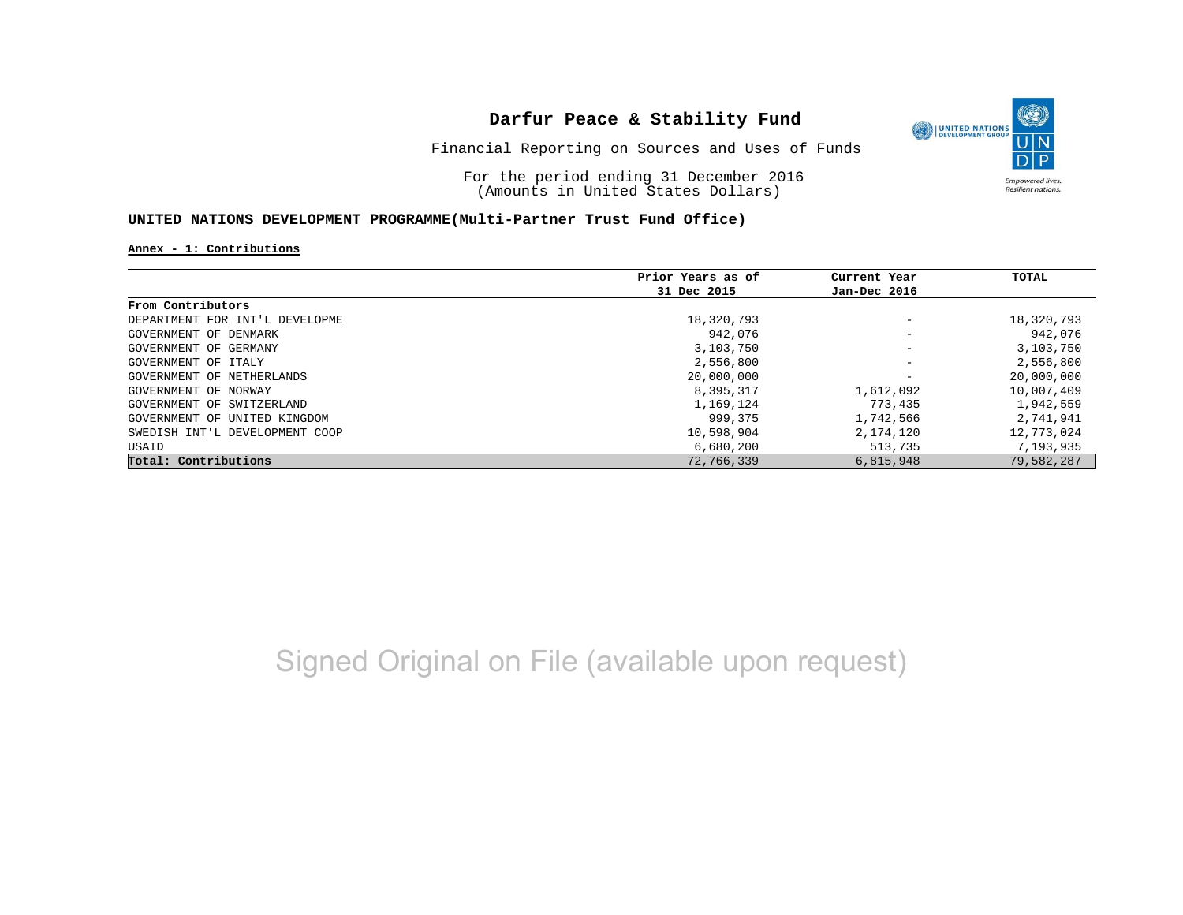

Financial Reporting on Sources and Uses of Funds

For the period ending 31 December 2016 (Amounts in United States Dollars)

## **UNITED NATIONS DEVELOPMENT PROGRAMME(Multi-Partner Trust Fund Office)**

**Annex - 1: Contributions**

|                                | Prior Years as of | Current Year             | TOTAL      |
|--------------------------------|-------------------|--------------------------|------------|
|                                | 31 Dec 2015       | Jan-Dec 2016             |            |
| From Contributors              |                   |                          |            |
| DEPARTMENT FOR INT'L DEVELOPME | 18,320,793        | $\overline{\phantom{m}}$ | 18,320,793 |
| GOVERNMENT OF DENMARK          | 942,076           | $\overline{\phantom{m}}$ | 942,076    |
| GOVERNMENT OF GERMANY          | 3,103,750         | $\qquad \qquad -$        | 3,103,750  |
| GOVERNMENT OF ITALY            | 2,556,800         | $\overline{\phantom{m}}$ | 2,556,800  |
| GOVERNMENT OF NETHERLANDS      | 20,000,000        | $\overline{\phantom{m}}$ | 20,000,000 |
| GOVERNMENT OF NORWAY           | 8,395,317         | 1,612,092                | 10,007,409 |
| GOVERNMENT OF SWITZERLAND      | 1,169,124         | 773,435                  | 1,942,559  |
| GOVERNMENT OF UNITED KINGDOM   | 999,375           | 1,742,566                | 2,741,941  |
| SWEDISH INT'L DEVELOPMENT COOP | 10,598,904        | 2,174,120                | 12,773,024 |
| USAID                          | 6,680,200         | 513,735                  | 7,193,935  |
| Total: Contributions           | 72,766,339        | 6,815,948                | 79,582,287 |

Signed Original on File (available upon request)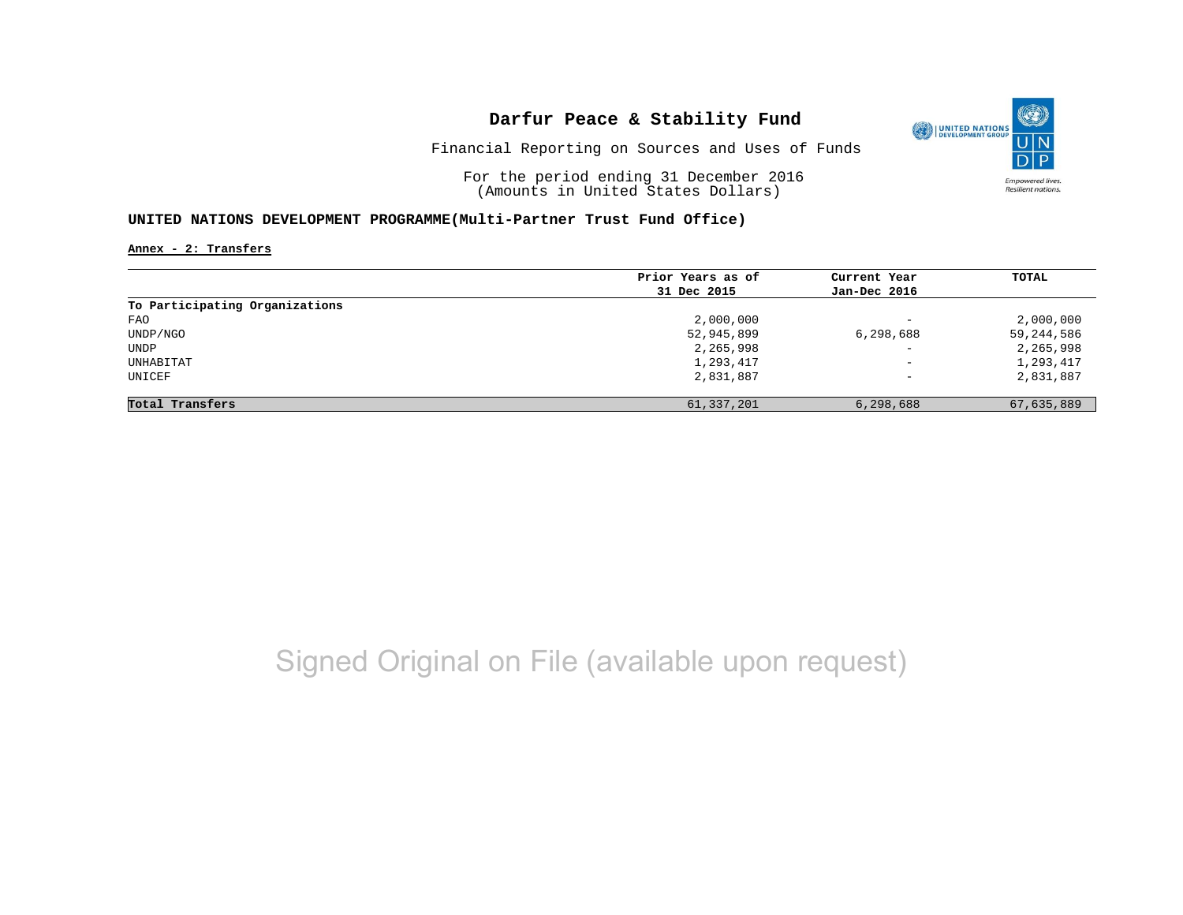

Financial Reporting on Sources and Uses of Funds

For the period ending 31 December 2016 (Amounts in United States Dollars)

## **UNITED NATIONS DEVELOPMENT PROGRAMME(Multi-Partner Trust Fund Office)**

**Annex - 2: Transfers**

|                                | Prior Years as of | Current Year             | TOTAL      |
|--------------------------------|-------------------|--------------------------|------------|
|                                | 31 Dec 2015       | Jan-Dec 2016             |            |
| To Participating Organizations |                   |                          |            |
| FAO                            | 2,000,000         | $\overline{\phantom{0}}$ | 2,000,000  |
| UNDP/NGO                       | 52,945,899        | 6,298,688                | 59,244,586 |
| UNDP                           | 2,265,998         | $\overline{\phantom{0}}$ | 2,265,998  |
| UNHABITAT                      | 1,293,417         | $\qquad \qquad -$        | 1,293,417  |
| UNICEF                         | 2,831,887         | $\qquad \qquad -$        | 2,831,887  |
| Total Transfers                | 61,337,201        | 6,298,688                | 67,635,889 |

# Signed Original on File (available upon request)